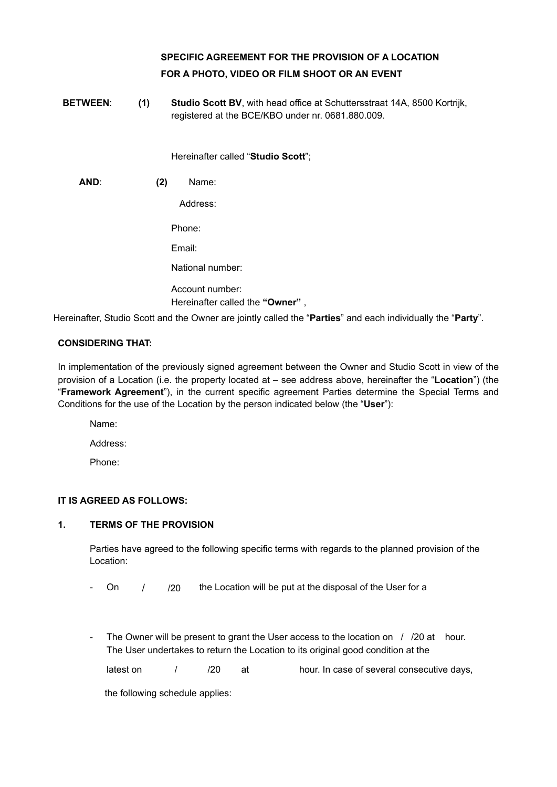# **SPECIFIC AGREEMENT FOR THE PROVISION OF A LOCATION FOR A PHOTO, VIDEO OR FILM SHOOT OR AN EVENT**

**BETWEEN**: **(1) Studio Scott BV**, with head office at Schuttersstraat 14A, 8500 Kortrijk, registered at the BCE/KBO under nr. 0681.880.009.

Hereinafter called "**Studio Scott**";

**AND**: **(2)** Name:

Address:

Phone:

Email:

National number:

Account number: Hereinafter called the **"Owner"** ,

Hereinafter, Studio Scott and the Owner are jointly called the "**Parties**" and each individually the "**Party**".

# **CONSIDERING THAT:**

In implementation of the previously signed agreement between the Owner and Studio Scott in view of the provision of a Location (i.e. the property located at – see address above, hereinafter the "**Location**") (the "**Framework Agreement**"), in the current specific agreement Parties determine the Special Terms and Conditions for the use of the Location by the person indicated below (the "**User**"):

Name:

Address:

Phone:

# **IT IS AGREED AS FOLLOWS:**

# **1. TERMS OF THE PROVISION**

Parties have agreed to the following specific terms with regards to the planned provision of the Location:

On  $/$  /20 the Location will be put at the disposal of the User for a

The Owner will be present to grant the User access to the location on  $\frac{1}{20}$  at hour. The User undertakes to return the Location to its original good condition at the

latest on  $/$  /20 at hour. In case of several consecutive days,

the following schedule applies: